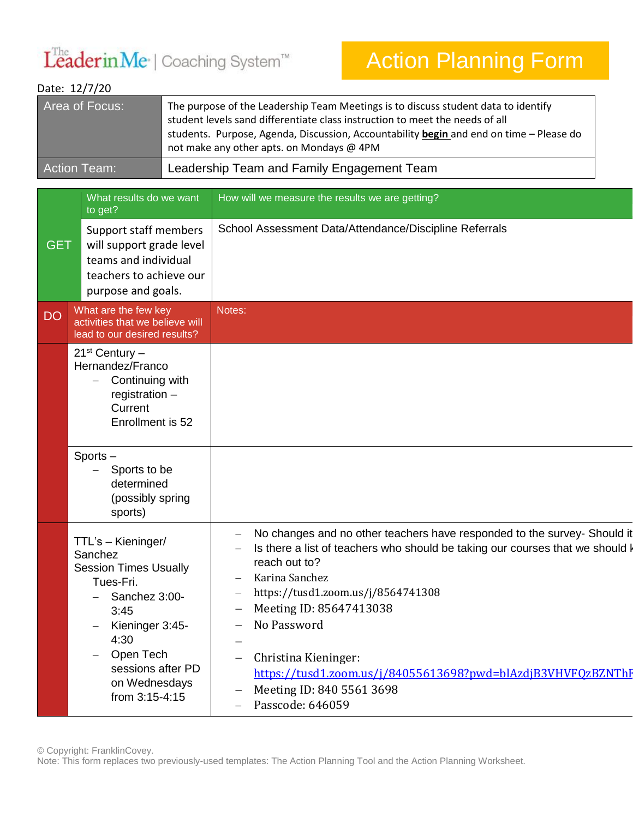## LeaderinMe<sup>·</sup> | Coaching System<sup>™</sup>

Date: 12/7/20

## Action Planning Form

|                     |                                                                                                                                                                                                     |  | student levels sand differentiate class instruction to meet the needs of all<br>students. Purpose, Agenda, Discussion, Accountability begin and end on time - Please do<br>not make any other apts. on Mondays @ 4PM                                                                                                                                                                                                  |  |  |  |  |
|---------------------|-----------------------------------------------------------------------------------------------------------------------------------------------------------------------------------------------------|--|-----------------------------------------------------------------------------------------------------------------------------------------------------------------------------------------------------------------------------------------------------------------------------------------------------------------------------------------------------------------------------------------------------------------------|--|--|--|--|
| <b>Action Team:</b> |                                                                                                                                                                                                     |  | Leadership Team and Family Engagement Team                                                                                                                                                                                                                                                                                                                                                                            |  |  |  |  |
|                     | What results do we want<br>to get?                                                                                                                                                                  |  | How will we measure the results we are getting?                                                                                                                                                                                                                                                                                                                                                                       |  |  |  |  |
| <b>GET</b>          | Support staff members<br>will support grade level<br>teams and individual<br>teachers to achieve our<br>purpose and goals.                                                                          |  | School Assessment Data/Attendance/Discipline Referrals                                                                                                                                                                                                                                                                                                                                                                |  |  |  |  |
| <b>DO</b>           | What are the few key<br>activities that we believe will<br>lead to our desired results?                                                                                                             |  | Notes:                                                                                                                                                                                                                                                                                                                                                                                                                |  |  |  |  |
|                     | $21st$ Century –<br>Hernandez/Franco<br>Continuing with<br>registration $-$<br>Current<br>Enrollment is 52                                                                                          |  |                                                                                                                                                                                                                                                                                                                                                                                                                       |  |  |  |  |
|                     | Sports-<br>Sports to be<br>$\overline{\phantom{0}}$<br>determined<br>(possibly spring<br>sports)                                                                                                    |  |                                                                                                                                                                                                                                                                                                                                                                                                                       |  |  |  |  |
|                     | TTL's - Kieninger/<br>Sanchez<br><b>Session Times Usually</b><br>Tues-Fri.<br>Sanchez 3:00-<br>3:45<br>Kieninger 3:45-<br>4:30<br>Open Tech<br>sessions after PD<br>on Wednesdays<br>from 3:15-4:15 |  | No changes and no other teachers have responded to the survey- Should it<br>Is there a list of teachers who should be taking our courses that we should k<br>reach out to?<br>Karina Sanchez<br>https://tusd1.zoom.us/j/8564741308<br>Meeting ID: 85647413038<br>No Password<br>Christina Kieninger:<br>https://tusd1.zoom.us/j/84055613698?pwd=blAzdjB3VHVFQzBZNThE<br>Meeting ID: 840 5561 3698<br>Passcode: 646059 |  |  |  |  |

Area of Focus: The purpose of the Leadership Team Meetings is to discuss student data to identify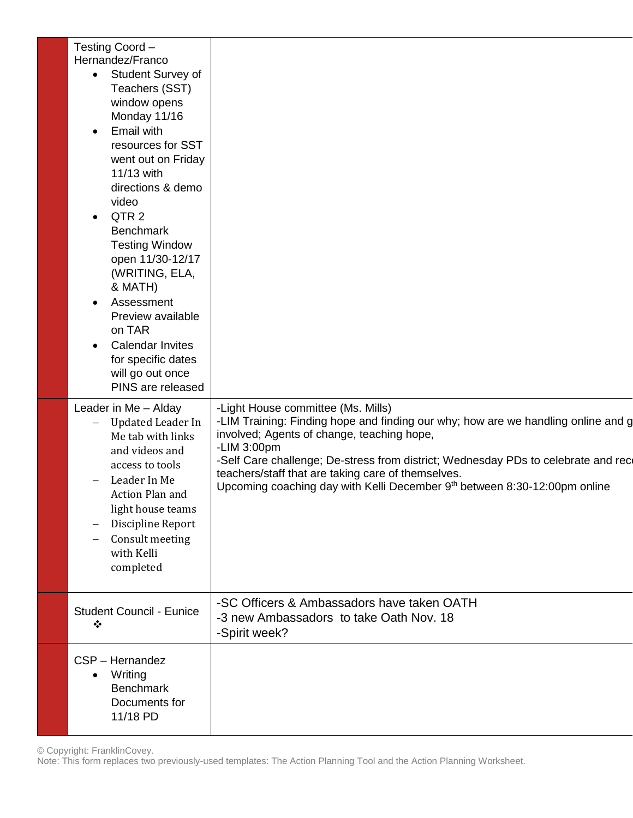| Testing Coord -<br>Hernandez/Franco<br>Student Survey of<br>$\bullet$<br>Teachers (SST)<br>window opens<br>Monday 11/16<br><b>Email with</b><br>$\bullet$<br>resources for SST<br>went out on Friday<br>11/13 with<br>directions & demo<br>video<br>QTR <sub>2</sub><br>$\bullet$<br><b>Benchmark</b><br><b>Testing Window</b><br>open 11/30-12/17<br>(WRITING, ELA,<br>& MATH)<br>Assessment<br>$\bullet$<br>Preview available<br>on TAR<br><b>Calendar Invites</b><br>$\bullet$<br>for specific dates<br>will go out once<br>PINS are released |                                                                                                                                                                                                                                                                                                                                                                                                              |
|--------------------------------------------------------------------------------------------------------------------------------------------------------------------------------------------------------------------------------------------------------------------------------------------------------------------------------------------------------------------------------------------------------------------------------------------------------------------------------------------------------------------------------------------------|--------------------------------------------------------------------------------------------------------------------------------------------------------------------------------------------------------------------------------------------------------------------------------------------------------------------------------------------------------------------------------------------------------------|
| Leader in Me - Alday<br><b>Updated Leader In</b><br>Me tab with links<br>and videos and<br>access to tools<br>Leader In Me<br><b>Action Plan and</b><br>light house teams<br>Discipline Report<br>Consult meeting<br>with Kelli<br>completed                                                                                                                                                                                                                                                                                                     | -Light House committee (Ms. Mills)<br>-LIM Training: Finding hope and finding our why; how are we handling online and g<br>involved; Agents of change, teaching hope,<br>-LIM 3:00pm<br>-Self Care challenge; De-stress from district; Wednesday PDs to celebrate and rec<br>teachers/staff that are taking care of themselves.<br>Upcoming coaching day with Kelli December 9th between 8:30-12:00pm online |
| <b>Student Council - Eunice</b><br>❖                                                                                                                                                                                                                                                                                                                                                                                                                                                                                                             | -SC Officers & Ambassadors have taken OATH<br>-3 new Ambassadors to take Oath Nov. 18<br>-Spirit week?                                                                                                                                                                                                                                                                                                       |
| CSP - Hernandez<br>Writing<br>$\bullet$<br><b>Benchmark</b><br>Documents for<br>11/18 PD                                                                                                                                                                                                                                                                                                                                                                                                                                                         |                                                                                                                                                                                                                                                                                                                                                                                                              |

© Copyright: FranklinCovey.

Note: This form replaces two previously-used templates: The Action Planning Tool and the Action Planning Worksheet.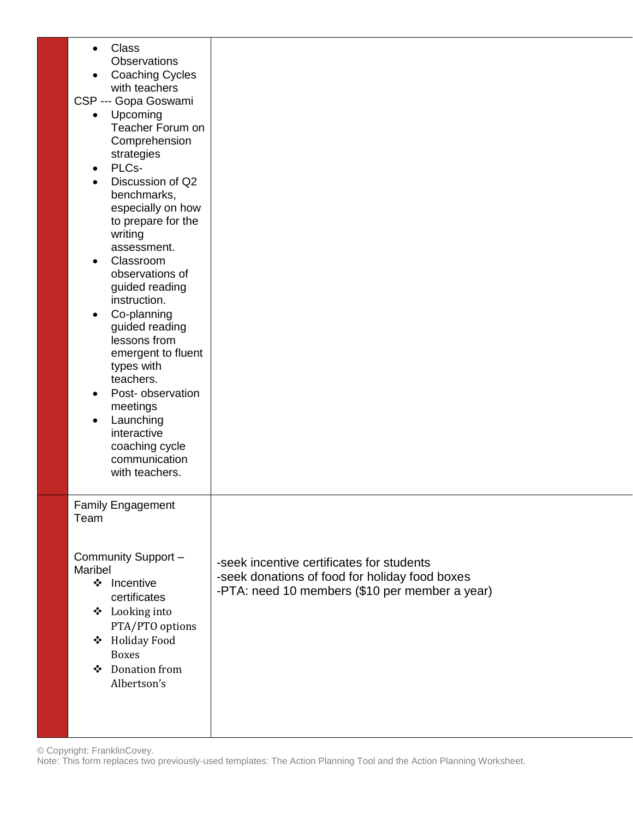| Class<br>$\bullet$<br><b>Observations</b><br><b>Coaching Cycles</b><br>with teachers<br>CSP --- Gopa Goswami<br>Upcoming<br>$\bullet$<br>Teacher Forum on<br>Comprehension<br>strategies<br>PLCs-<br>٠<br>Discussion of Q2<br>benchmarks,<br>especially on how<br>to prepare for the<br>writing<br>assessment.<br>Classroom<br>observations of<br>guided reading<br>instruction.<br>Co-planning<br>$\bullet$<br>guided reading<br>lessons from<br>emergent to fluent<br>types with<br>teachers.<br>Post-observation<br>$\bullet$<br>meetings<br>Launching<br>$\bullet$<br>interactive<br>coaching cycle<br>communication<br>with teachers. |                                                                                                                                               |
|--------------------------------------------------------------------------------------------------------------------------------------------------------------------------------------------------------------------------------------------------------------------------------------------------------------------------------------------------------------------------------------------------------------------------------------------------------------------------------------------------------------------------------------------------------------------------------------------------------------------------------------------|-----------------------------------------------------------------------------------------------------------------------------------------------|
| <b>Family Engagement</b><br>Team                                                                                                                                                                                                                                                                                                                                                                                                                                                                                                                                                                                                           |                                                                                                                                               |
| Community Support -<br>Maribel<br>❖ Incentive<br>certificates<br>❖ Looking into<br>PTA/PTO options<br>Holiday Food<br>❖<br><b>Boxes</b><br>Donation from<br>❖<br>Albertson's                                                                                                                                                                                                                                                                                                                                                                                                                                                               | -seek incentive certificates for students<br>-seek donations of food for holiday food boxes<br>-PTA: need 10 members (\$10 per member a year) |

© Copyright: FranklinCovey.

Note: This form replaces two previously-used templates: The Action Planning Tool and the Action Planning Worksheet.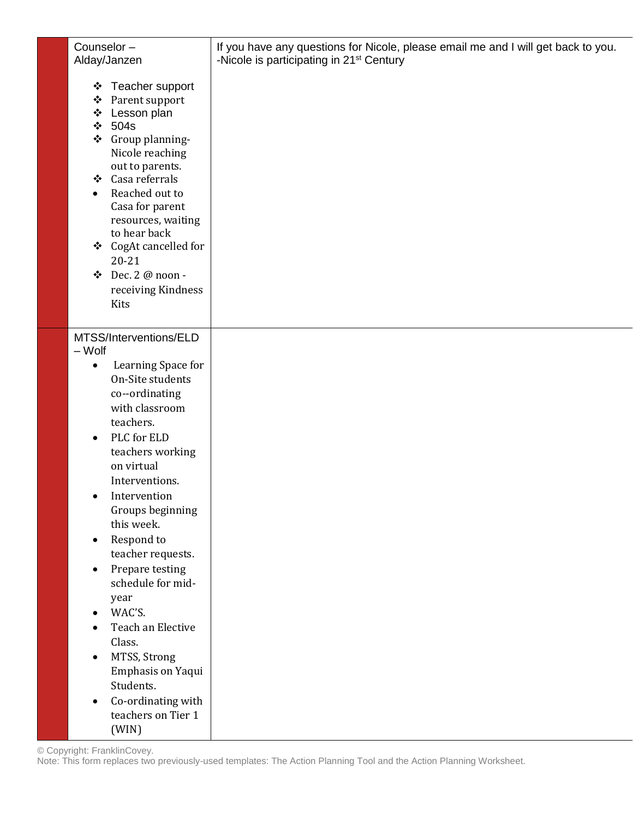| Counselor-<br>Alday/Janzen |                                                                                                                                                               | If you have any questions for Nicole, please email me and I will get back to you.<br>-Nicole is participating in 21 <sup>st</sup> Century |
|----------------------------|---------------------------------------------------------------------------------------------------------------------------------------------------------------|-------------------------------------------------------------------------------------------------------------------------------------------|
|                            | ❖ Teacher support<br>❖<br>Parent support<br>❖<br>Lesson plan<br>$\div$ 504s<br>Group planning-<br>❖<br>Nicole reaching<br>out to parents.<br>❖ Casa referrals |                                                                                                                                           |
|                            | Reached out to<br>$\bullet$<br>Casa for parent<br>resources, waiting<br>to hear back<br>❖ CogAt cancelled for<br>$20 - 21$                                    |                                                                                                                                           |
|                            | Dec. 2 @ noon -<br>$\cdot$<br>receiving Kindness<br>Kits                                                                                                      |                                                                                                                                           |
|                            | MTSS/Interventions/ELD<br>- Wolf                                                                                                                              |                                                                                                                                           |
|                            | Learning Space for<br>$\bullet$<br>On-Site students<br>co--ordinating<br>with classroom<br>teachers.                                                          |                                                                                                                                           |
|                            | PLC for ELD<br>$\bullet$<br>teachers working<br>on virtual<br>Interventions.<br>Intervention                                                                  |                                                                                                                                           |
|                            | ٠<br>Groups beginning<br>this week.<br>Respond to<br>$\bullet$<br>teacher requests.                                                                           |                                                                                                                                           |
|                            | Prepare testing<br>$\bullet$<br>schedule for mid-<br>year<br>WAC'S.<br>$\bullet$                                                                              |                                                                                                                                           |
|                            | Teach an Elective<br>$\bullet$<br>Class.<br>MTSS, Strong<br>$\bullet$<br>Emphasis on Yaqui<br>Students.                                                       |                                                                                                                                           |
|                            | Co-ordinating with<br>$\bullet$<br>teachers on Tier 1<br>(WIN)                                                                                                |                                                                                                                                           |

© Copyright: FranklinCovey. Note: This form replaces two previously-used templates: The Action Planning Tool and the Action Planning Worksheet.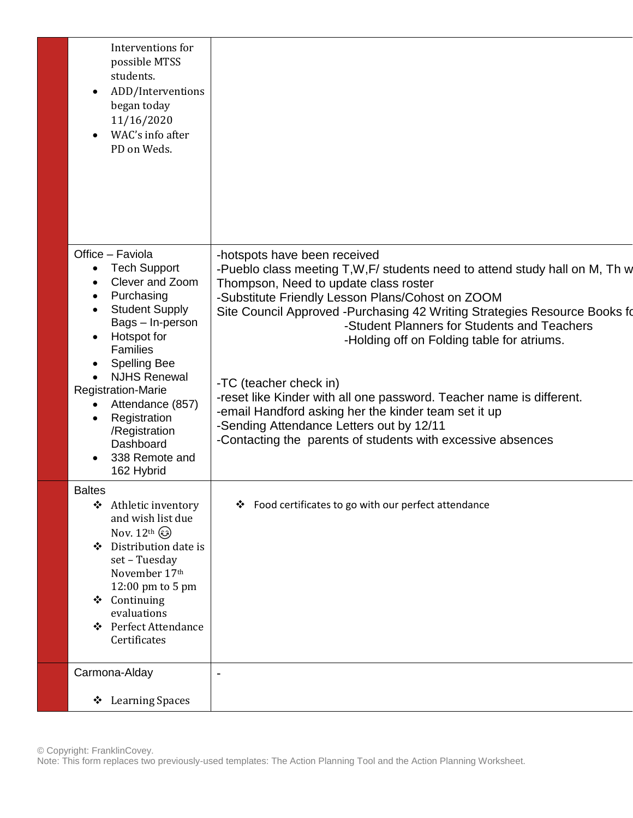| Interventions for<br>possible MTSS<br>students.<br>ADD/Interventions<br>$\bullet$<br>began today<br>11/16/2020<br>WAC's info after<br>$\bullet$<br>PD on Weds.                                                                                                                                                                 |                                                                                                                                                                                                                                                                                                                                                                                                                                                                                                                                                                                           |
|--------------------------------------------------------------------------------------------------------------------------------------------------------------------------------------------------------------------------------------------------------------------------------------------------------------------------------|-------------------------------------------------------------------------------------------------------------------------------------------------------------------------------------------------------------------------------------------------------------------------------------------------------------------------------------------------------------------------------------------------------------------------------------------------------------------------------------------------------------------------------------------------------------------------------------------|
| Office - Faviola<br><b>Tech Support</b><br>Clever and Zoom<br>Purchasing<br>$\bullet$<br><b>Student Supply</b><br>$\bullet$<br>Bags - In-person<br>Hotspot for<br><b>Families</b><br><b>Spelling Bee</b><br>$\bullet$<br><b>NJHS Renewal</b><br><b>Registration-Marie</b><br>Attendance (857)<br>Registration<br>/Registration | -hotspots have been received<br>-Pueblo class meeting T, W, F/ students need to attend study hall on M, Th w<br>Thompson, Need to update class roster<br>-Substitute Friendly Lesson Plans/Cohost on ZOOM<br>Site Council Approved -Purchasing 42 Writing Strategies Resource Books fo<br>-Student Planners for Students and Teachers<br>-Holding off on Folding table for atriums.<br>-TC (teacher check in)<br>-reset like Kinder with all one password. Teacher name is different.<br>-email Handford asking her the kinder team set it up<br>-Sending Attendance Letters out by 12/11 |
| Dashboard<br>338 Remote and<br>162 Hybrid                                                                                                                                                                                                                                                                                      | -Contacting the parents of students with excessive absences                                                                                                                                                                                                                                                                                                                                                                                                                                                                                                                               |
| <b>Baltes</b><br>Athletic inventory<br>❖<br>and wish list due<br>Nov. $12$ <sup>th</sup> $\circled{c}$<br>Distribution date is<br>❖<br>set - Tuesday<br>November 17th<br>12:00 pm to 5 pm<br>❖ Continuing<br>evaluations<br><b>Perfect Attendance</b><br>❖<br>Certificates                                                     | ❖ Food certificates to go with our perfect attendance                                                                                                                                                                                                                                                                                                                                                                                                                                                                                                                                     |
| Carmona-Alday                                                                                                                                                                                                                                                                                                                  | $\blacksquare$                                                                                                                                                                                                                                                                                                                                                                                                                                                                                                                                                                            |
| ❖ Learning Spaces                                                                                                                                                                                                                                                                                                              |                                                                                                                                                                                                                                                                                                                                                                                                                                                                                                                                                                                           |